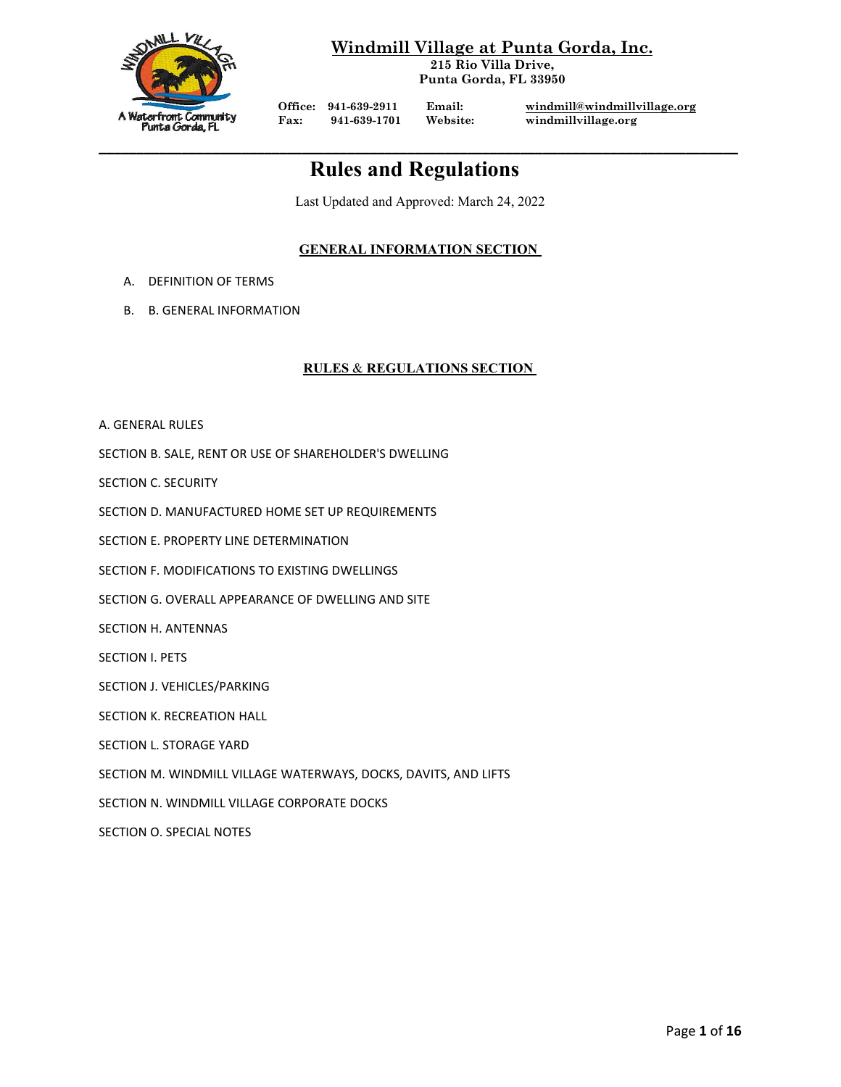

**Windmill Village at Punta Gorda, Inc.**

**215 Rio Villa Drive, Punta Gorda, FL 33950**

Office: 941-639-2911 Email: [windmill@windmillvillage.org](mailto:windmill@windmillvillage.org)<br>Fax: 941-639-1701 Website: windmillvillage.org **Fax: 941-639-1701 Website: windmillvillage.org**

# **\_\_\_\_\_\_\_\_\_\_\_\_\_\_\_\_\_\_\_\_\_\_\_\_\_\_\_\_\_\_\_\_\_\_\_\_\_\_\_\_\_\_\_\_\_\_\_\_\_\_\_\_\_\_\_\_\_\_\_\_\_\_\_\_\_\_\_\_\_\_\_\_\_\_\_\_\_\_\_\_\_\_\_\_\_ Rules and Regulations**

Last Updated and Approved: March 24, 2022

# **GENERAL INFORMATION SECTION**

- A. DEFINITION OF TERMS
- B. B. GENERAL INFORMATION

# **RULES** & **REGULATIONS SECTION**

A. GENERAL RULES

SECTION B. SALE, RENT OR USE OF SHAREHOLDER'S DWELLING

SECTION C. SECURITY

SECTION D. MANUFACTURED HOME SET UP REQUIREMENTS

SECTION E. PROPERTY LINE DETERMINATION

SECTION F. MODIFICATIONS TO EXISTING DWELLINGS

SECTION G. OVERALL APPEARANCE OF DWELLING AND SITE

SECTION H. ANTENNAS

SECTION I. PETS

SECTION J. VEHICLES/PARKING

SECTION K. RECREATION HALL

SECTION L. STORAGE YARD

SECTION M. WINDMILL VILLAGE WATERWAYS, DOCKS, DAVITS, AND LIFTS

SECTION N. WINDMILL VILLAGE CORPORATE DOCKS

SECTION O. SPECIAL NOTES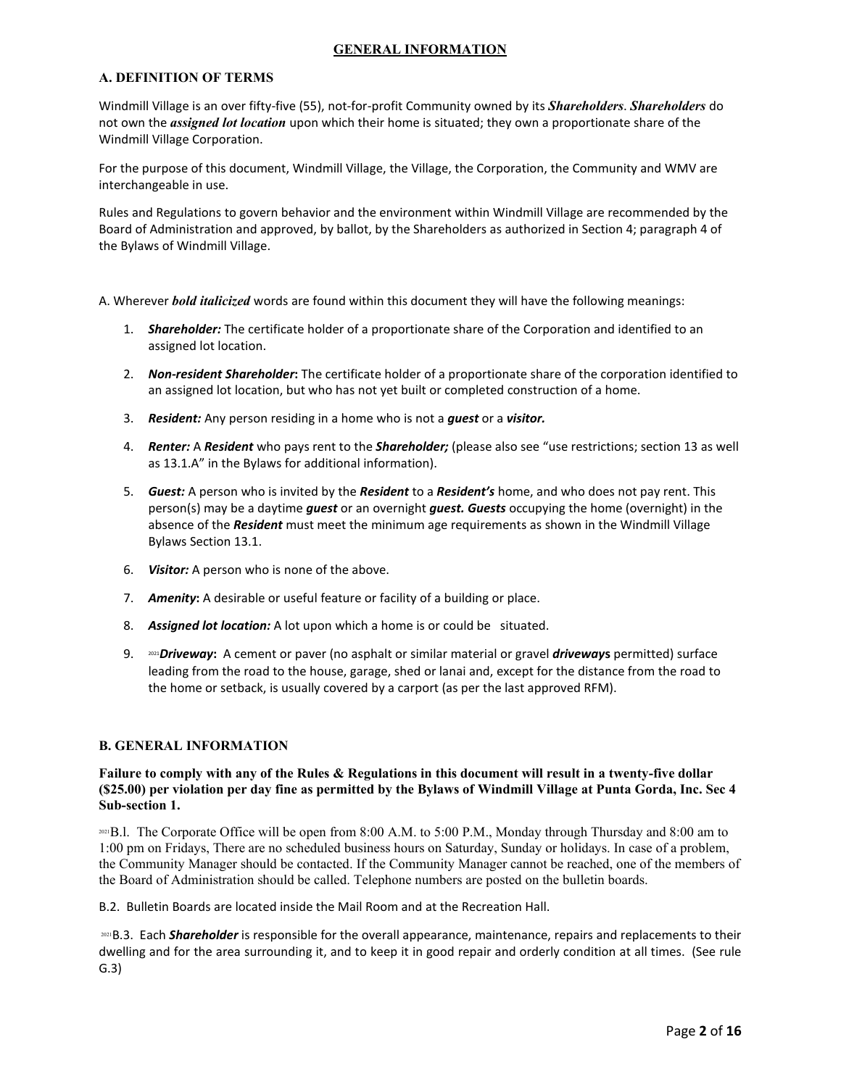## **GENERAL INFORMATION**

### **A. DEFINITION OF TERMS**

Windmill Village is an over fifty-five (55), not-for-profit Community owned by its *Shareholders*. *Shareholders* do not own the *assigned lot location* upon which their home is situated; they own a proportionate share of the Windmill Village Corporation.

For the purpose of this document, Windmill Village, the Village, the Corporation, the Community and WMV are interchangeable in use.

Rules and Regulations to govern behavior and the environment within Windmill Village are recommended by the Board of Administration and approved, by ballot, by the Shareholders as authorized in Section 4; paragraph 4 of the Bylaws of Windmill Village.

- A. Wherever *bold italicized* words are found within this document they will have the following meanings:
	- 1. *Shareholder:* The certificate holder of a proportionate share of the Corporation and identified to an assigned lot location.
	- 2. *Non-resident Shareholder***:** The certificate holder of a proportionate share of the corporation identified to an assigned lot location, but who has not yet built or completed construction of a home.
	- 3. *Resident:* Any person residing in a home who is not a *guest* or a *visitor.*
	- 4. *Renter:* A *Resident* who pays rent to the *Shareholder;* (please also see "use restrictions; section 13 as well as 13.1.A" in the Bylaws for additional information).
	- 5. *Guest:* A person who is invited by the *Resident* to a *Resident's* home, and who does not pay rent. This person(s) may be a daytime *guest* or an overnight *guest. Guests* occupying the home (overnight) in the absence of the *Resident* must meet the minimum age requirements as shown in the Windmill Village Bylaws Section 13.1.
	- 6. *Visitor:* A person who is none of the above.
	- 7. *Amenity***:** A desirable or useful feature or facility of a building or place.
	- 8. *Assigned lot location:* A lot upon which a home is or could be situated.
	- 9. <sup>2021</sup>*Driveway***:** A cement or paver (no asphalt or similar material or gravel *driveway***s** permitted) surface leading from the road to the house, garage, shed or lanai and, except for the distance from the road to the home or setback, is usually covered by a carport (as per the last approved RFM).

### **B. GENERAL INFORMATION**

### **Failure to comply with any of the Rules & Regulations in this document will result in a twenty-five dollar (\$25.00) per violation per day fine as permitted by the Bylaws of Windmill Village at Punta Gorda, Inc. Sec 4 Sub-section 1.**

2021B.l. The Corporate Office will be open from 8:00 A.M. to 5:00 P.M., Monday through Thursday and 8:00 am to 1:00 pm on Fridays, There are no scheduled business hours on Saturday, Sunday or holidays. In case of a problem, the Community Manager should be contacted. If the Community Manager cannot be reached, one of the members of the Board of Administration should be called. Telephone numbers are posted on the bulletin boards.

B.2. Bulletin Boards are located inside the Mail Room and at the Recreation Hall.

2021 B.3. Each **Shareholder** is responsible for the overall appearance, maintenance, repairs and replacements to their dwelling and for the area surrounding it, and to keep it in good repair and orderly condition at all times. (See rule G.3)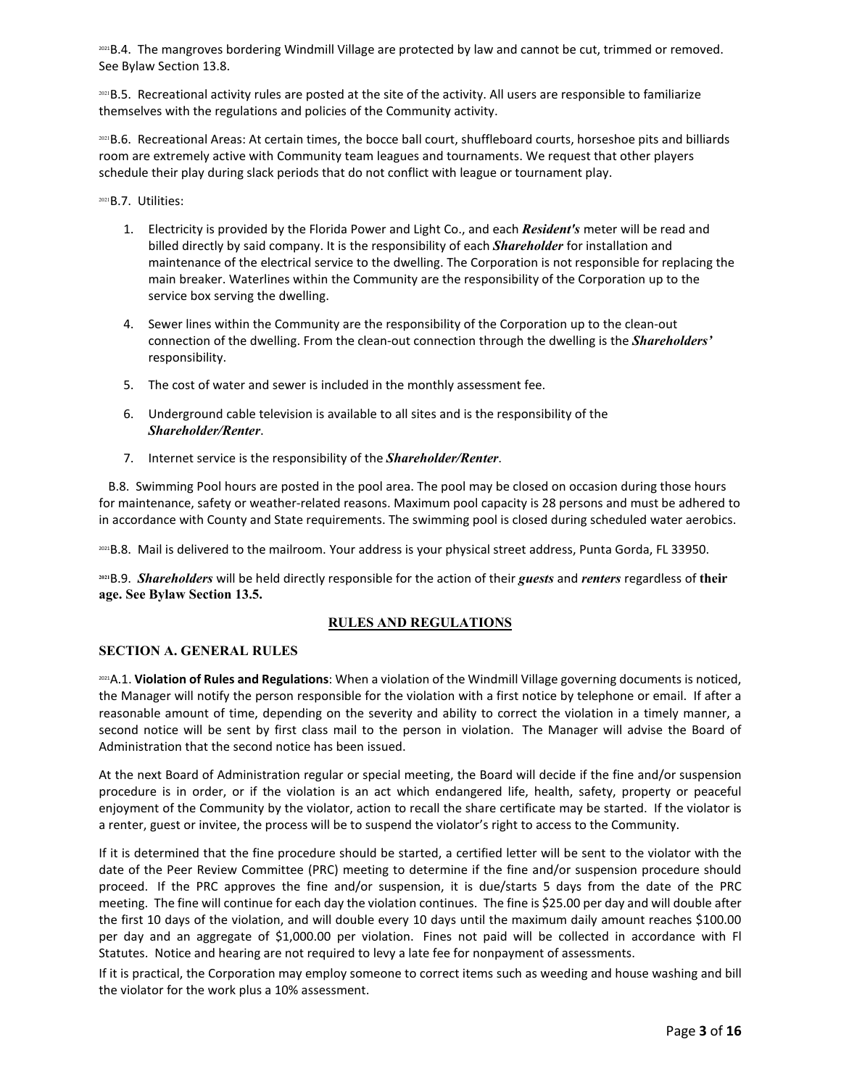2021B.4. The mangroves bordering Windmill Village are protected by law and cannot be cut, trimmed or removed. See Bylaw Section 13.8.

2021B.5. Recreational activity rules are posted at the site of the activity. All users are responsible to familiarize themselves with the regulations and policies of the Community activity.

<sup>2021</sup>B.6. Recreational Areas: At certain times, the bocce ball court, shuffleboard courts, horseshoe pits and billiards room are extremely active with Community team leagues and tournaments. We request that other players schedule their play during slack periods that do not conflict with league or tournament play.

<sup>2021</sup>B.7. Utilities:

- 1. Electricity is provided by the Florida Power and Light Co., and each *Resident's* meter will be read and billed directly by said company. It is the responsibility of each *Shareholder* for installation and maintenance of the electrical service to the dwelling. The Corporation is not responsible for replacing the main breaker. Waterlines within the Community are the responsibility of the Corporation up to the service box serving the dwelling.
- 4. Sewer lines within the Community are the responsibility of the Corporation up to the clean-out connection of the dwelling. From the clean-out connection through the dwelling is the *Shareholders'*  responsibility.
- 5. The cost of water and sewer is included in the monthly assessment fee.
- 6. Underground cable television is available to all sites and is the responsibility of the *Shareholder/Renter*.
- 7. Internet service is the responsibility of the *Shareholder/Renter*.

 B.8. Swimming Pool hours are posted in the pool area. The pool may be closed on occasion during those hours for maintenance, safety or weather-related reasons. Maximum pool capacity is 28 persons and must be adhered to in accordance with County and State requirements. The swimming pool is closed during scheduled water aerobics.

2021B.8. Mail is delivered to the mailroom. Your address is your physical street address, Punta Gorda, FL 33950.

**<sup>2021</sup>**B.9. *Shareholders* will be held directly responsible for the action of their *guests* and *renters* regardless of **their age. See Bylaw Section 13.5.**

### **RULES AND REGULATIONS**

### **SECTION A. GENERAL RULES**

2021A.1. **Violation of Rules and Regulations**: When a violation of the Windmill Village governing documents is noticed, the Manager will notify the person responsible for the violation with a first notice by telephone or email. If after a reasonable amount of time, depending on the severity and ability to correct the violation in a timely manner, a second notice will be sent by first class mail to the person in violation. The Manager will advise the Board of Administration that the second notice has been issued.

At the next Board of Administration regular or special meeting, the Board will decide if the fine and/or suspension procedure is in order, or if the violation is an act which endangered life, health, safety, property or peaceful enjoyment of the Community by the violator, action to recall the share certificate may be started. If the violator is a renter, guest or invitee, the process will be to suspend the violator's right to access to the Community.

If it is determined that the fine procedure should be started, a certified letter will be sent to the violator with the date of the Peer Review Committee (PRC) meeting to determine if the fine and/or suspension procedure should proceed. If the PRC approves the fine and/or suspension, it is due/starts 5 days from the date of the PRC meeting. The fine will continue for each day the violation continues. The fine is \$25.00 per day and will double after the first 10 days of the violation, and will double every 10 days until the maximum daily amount reaches \$100.00 per day and an aggregate of \$1,000.00 per violation. Fines not paid will be collected in accordance with Fl Statutes. Notice and hearing are not required to levy a late fee for nonpayment of assessments.

If it is practical, the Corporation may employ someone to correct items such as weeding and house washing and bill the violator for the work plus a 10% assessment.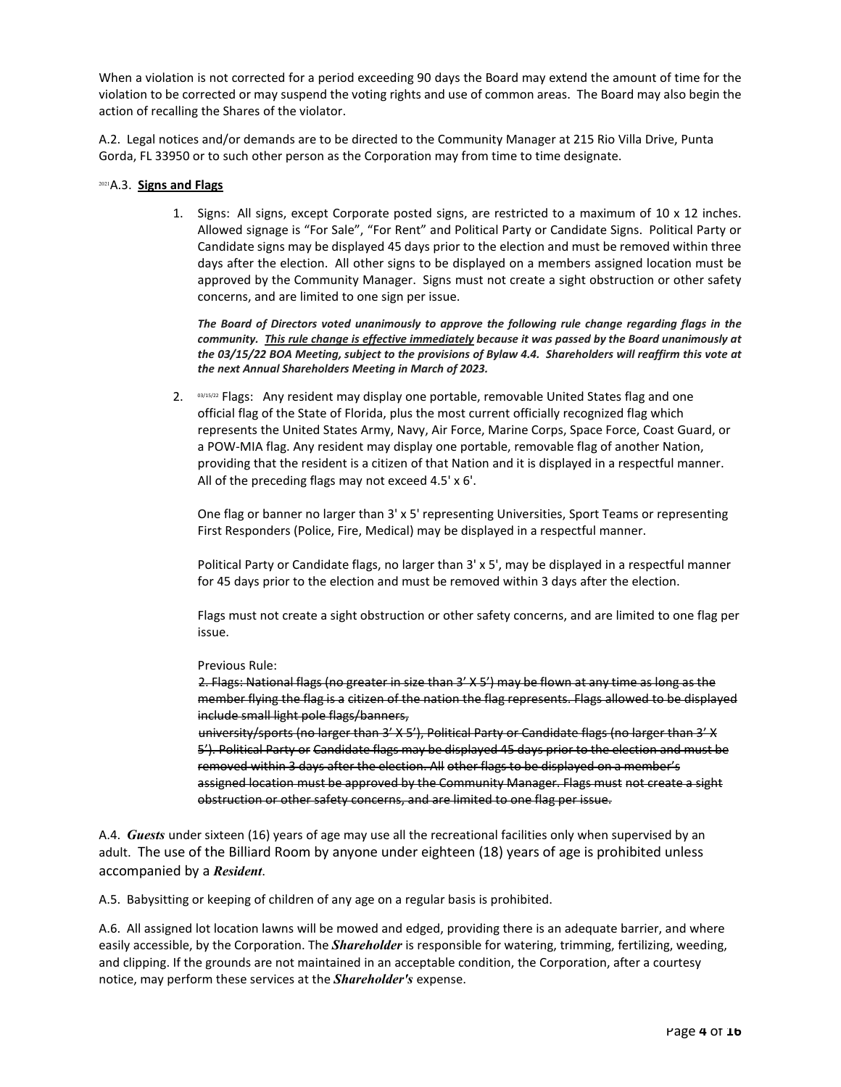When a violation is not corrected for a period exceeding 90 days the Board may extend the amount of time for the violation to be corrected or may suspend the voting rights and use of common areas. The Board may also begin the action of recalling the Shares of the violator.

A.2. Legal notices and/or demands are to be directed to the Community Manager at 215 Rio Villa Drive, Punta Gorda, FL 33950 or to such other person as the Corporation may from time to time designate.

#### <sup>2021</sup>A.3. **Signs and Flags**

1. Signs: All signs, except Corporate posted signs, are restricted to a maximum of 10 x 12 inches. Allowed signage is "For Sale", "For Rent" and Political Party or Candidate Signs. Political Party or Candidate signs may be displayed 45 days prior to the election and must be removed within three days after the election. All other signs to be displayed on a members assigned location must be approved by the Community Manager. Signs must not create a sight obstruction or other safety concerns, and are limited to one sign per issue.

*The Board of Directors voted unanimously to approve the following rule change regarding flags in the community. This rule change is effective immediately because it was passed by the Board unanimously at the 03/15/22 BOA Meeting, subject to the provisions of Bylaw 4.4. Shareholders will reaffirm this vote at the next Annual Shareholders Meeting in March of 2023.*

2.  $^{03/15/22}$  Flags: Any resident may display one portable, removable United States flag and one official flag of the State of Florida, plus the most current officially recognized flag which represents the United States Army, Navy, Air Force, Marine Corps, Space Force, Coast Guard, or a POW-MIA flag. Any resident may display one portable, removable flag of another Nation, providing that the resident is a citizen of that Nation and it is displayed in a respectful manner. All of the preceding flags may not exceed 4.5' x 6'.

One flag or banner no larger than 3' x 5' representing Universities, Sport Teams or representing First Responders (Police, Fire, Medical) may be displayed in a respectful manner.

Political Party or Candidate flags, no larger than 3' x 5', may be displayed in a respectful manner for 45 days prior to the election and must be removed within 3 days after the election.

Flags must not create a sight obstruction or other safety concerns, and are limited to one flag per issue.

Previous Rule:

2. Flags: National flags (no greater in size than 3' X 5') may be flown at any time as long as the member flying the flag is a citizen of the nation the flag represents. Flags allowed to be displayed include small light pole flags/banners,

university/sports (no larger than 3' X 5'), Political Party or Candidate flags (no larger than 3' X 5'). Political Party or Candidate flags may be displayed 45 days prior to the election and must be removed within 3 days after the election. All other flags to be displayed on a member's assigned location must be approved by the Community Manager. Flags must not create a sight obstruction or other safety concerns, and are limited to one flag per issue.

A.4. *Guests* under sixteen (16) years of age may use all the recreational facilities only when supervised by an adult. The use of the Billiard Room by anyone under eighteen (18) years of age is prohibited unless accompanied by a *Resident*.

A.5. Babysitting or keeping of children of any age on a regular basis is prohibited.

A.6. All assigned lot location lawns will be mowed and edged, providing there is an adequate barrier, and where easily accessible, by the Corporation. The *Shareholder* is responsible for watering, trimming, fertilizing, weeding, and clipping. If the grounds are not maintained in an acceptable condition, the Corporation, after a courtesy notice, may perform these services at the *Shareholder's* expense.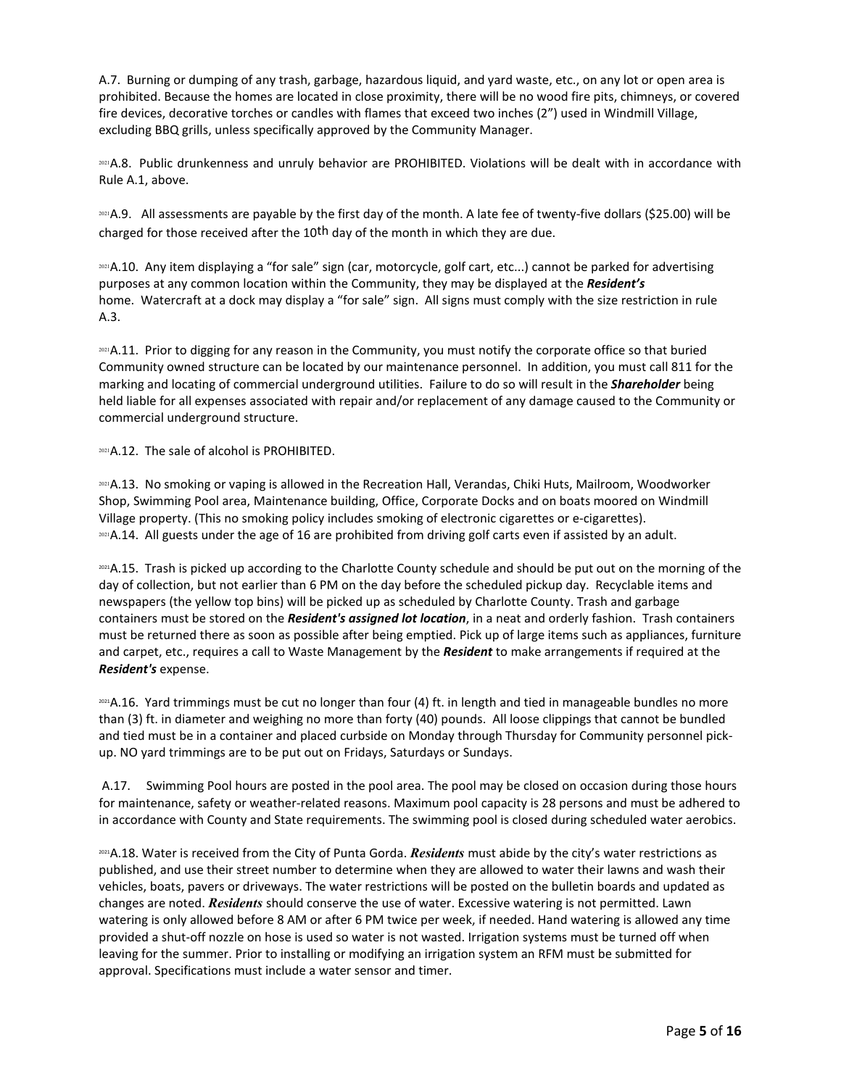A.7. Burning or dumping of any trash, garbage, hazardous liquid, and yard waste, etc., on any lot or open area is prohibited. Because the homes are located in close proximity, there will be no wood fire pits, chimneys, or covered fire devices, decorative torches or candles with flames that exceed two inches (2") used in Windmill Village, excluding BBQ grills, unless specifically approved by the Community Manager.

<sup>2021</sup>A.8. Public drunkenness and unruly behavior are PROHIBITED. Violations will be dealt with in accordance with Rule A.1, above.

<sup>2021</sup>A.9. All assessments are payable by the first day of the month. A late fee of twenty-five dollars (\$25.00) will be charged for those received after the  $10<sup>th</sup>$  day of the month in which they are due.

<sup>2021</sup>A.10. Any item displaying a "for sale" sign (car, motorcycle, golf cart, etc...) cannot be parked for advertising purposes at any common location within the Community, they may be displayed at the *Resident's* home. Watercraft at a dock may display a "for sale" sign. All signs must comply with the size restriction in rule A.3.

<sup>2021</sup>A.11. Prior to digging for any reason in the Community, you must notify the corporate office so that buried Community owned structure can be located by our maintenance personnel. In addition, you must call 811 for the marking and locating of commercial underground utilities. Failure to do so will result in the *Shareholder* being held liable for all expenses associated with repair and/or replacement of any damage caused to the Community or commercial underground structure.

2021**A.12.** The sale of alcohol is PROHIBITED.

<sup>2021</sup>A.13. No smoking or vaping is allowed in the Recreation Hall, Verandas, Chiki Huts, Mailroom, Woodworker Shop, Swimming Pool area, Maintenance building, Office, Corporate Docks and on boats moored on Windmill Village property. (This no smoking policy includes smoking of electronic cigarettes or e-cigarettes). <sup>2021</sup>A.14. All guests under the age of 16 are prohibited from driving golf carts even if assisted by an adult.

2021A.15. Trash is picked up according to the Charlotte County schedule and should be put out on the morning of the day of collection, but not earlier than 6 PM on the day before the scheduled pickup day. Recyclable items and newspapers (the yellow top bins) will be picked up as scheduled by Charlotte County. Trash and garbage containers must be stored on the *Resident's assigned lot location*, in a neat and orderly fashion. Trash containers must be returned there as soon as possible after being emptied. Pick up of large items such as appliances, furniture and carpet, etc., requires a call to Waste Management by the *Resident* to make arrangements if required at the *Resident's* expense.

2021A.16. Yard trimmings must be cut no longer than four (4) ft. in length and tied in manageable bundles no more than (3) ft. in diameter and weighing no more than forty (40) pounds. All loose clippings that cannot be bundled and tied must be in a container and placed curbside on Monday through Thursday for Community personnel pickup. NO yard trimmings are to be put out on Fridays, Saturdays or Sundays.

A.17. Swimming Pool hours are posted in the pool area. The pool may be closed on occasion during those hours for maintenance, safety or weather-related reasons. Maximum pool capacity is 28 persons and must be adhered to in accordance with County and State requirements. The swimming pool is closed during scheduled water aerobics.

2021A.18. Water is received from the City of Punta Gorda. *Residents* must abide by the city's water restrictions as published, and use their street number to determine when they are allowed to water their lawns and wash their vehicles, boats, pavers or driveways. The water restrictions will be posted on the bulletin boards and updated as changes are noted. *Residents* should conserve the use of water. Excessive watering is not permitted. Lawn watering is only allowed before 8 AM or after 6 PM twice per week, if needed. Hand watering is allowed any time provided a shut-off nozzle on hose is used so water is not wasted. Irrigation systems must be turned off when leaving for the summer. Prior to installing or modifying an irrigation system an RFM must be submitted for approval. Specifications must include a water sensor and timer.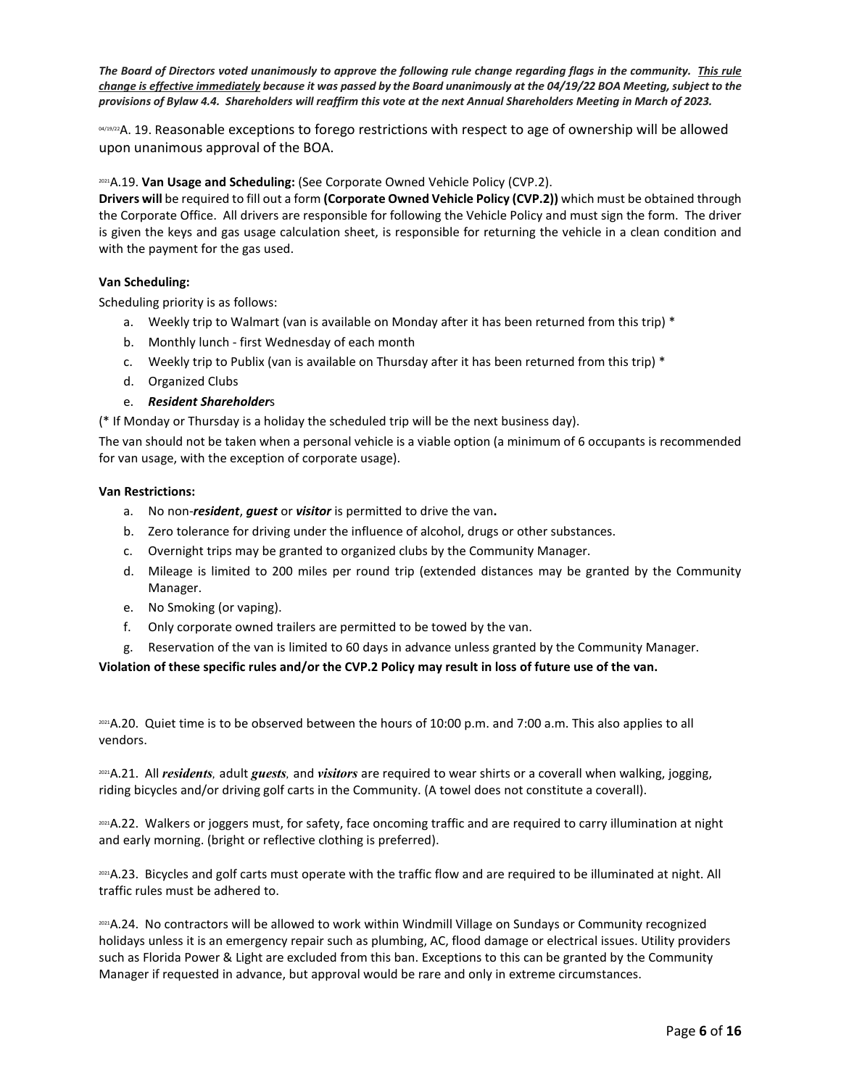*The Board of Directors voted unanimously to approve the following rule change regarding flags in the community. This rule change is effective immediately because it was passed by the Board unanimously at the 04/19/22 BOA Meeting, subject to the provisions of Bylaw 4.4. Shareholders will reaffirm this vote at the next Annual Shareholders Meeting in March of 2023.*

04/19/22A. 19. Reasonable exceptions to forego restrictions with respect to age of ownership will be allowed upon unanimous approval of the BOA.

### 2021A.19. **Van Usage and Scheduling:** (See Corporate Owned Vehicle Policy (CVP.2).

**Drivers will** be required to fill out a form **(Corporate Owned Vehicle Policy (CVP.2))** which must be obtained through the Corporate Office. All drivers are responsible for following the Vehicle Policy and must sign the form. The driver is given the keys and gas usage calculation sheet, is responsible for returning the vehicle in a clean condition and with the payment for the gas used.

#### **Van Scheduling:**

Scheduling priority is as follows:

- a. Weekly trip to Walmart (van is available on Monday after it has been returned from this trip) \*
- b. Monthly lunch first Wednesday of each month
- c. Weekly trip to Publix (van is available on Thursday after it has been returned from this trip) \*
- d. Organized Clubs
- e. *Resident Shareholder*s

(\* If Monday or Thursday is a holiday the scheduled trip will be the next business day).

The van should not be taken when a personal vehicle is a viable option (a minimum of 6 occupants is recommended for van usage, with the exception of corporate usage).

#### **Van Restrictions:**

- a. No non-*resident*, *guest* or *visitor* is permitted to drive the van**.**
- b. Zero tolerance for driving under the influence of alcohol, drugs or other substances.
- c. Overnight trips may be granted to organized clubs by the Community Manager.
- d. Mileage is limited to 200 miles per round trip (extended distances may be granted by the Community Manager.
- e. No Smoking (or vaping).
- f. Only corporate owned trailers are permitted to be towed by the van.
- g. Reservation of the van is limited to 60 days in advance unless granted by the Community Manager.

**Violation of these specific rules and/or the CVP.2 Policy may result in loss of future use of the van.**

2021 A.20. Quiet time is to be observed between the hours of 10:00 p.m. and 7:00 a.m. This also applies to all vendors.

2021A.21. All *residents,* adult *guests,* and *visitors* are required to wear shirts or a coverall when walking, jogging, riding bicycles and/or driving golf carts in the Community. (A towel does not constitute a coverall).

2021A.22. Walkers or joggers must, for safety, face oncoming traffic and are required to carry illumination at night and early morning. (bright or reflective clothing is preferred).

2021 A.23. Bicycles and golf carts must operate with the traffic flow and are required to be illuminated at night. All traffic rules must be adhered to.

2021A.24. No contractors will be allowed to work within Windmill Village on Sundays or Community recognized holidays unless it is an emergency repair such as plumbing, AC, flood damage or electrical issues. Utility providers such as Florida Power & Light are excluded from this ban. Exceptions to this can be granted by the Community Manager if requested in advance, but approval would be rare and only in extreme circumstances.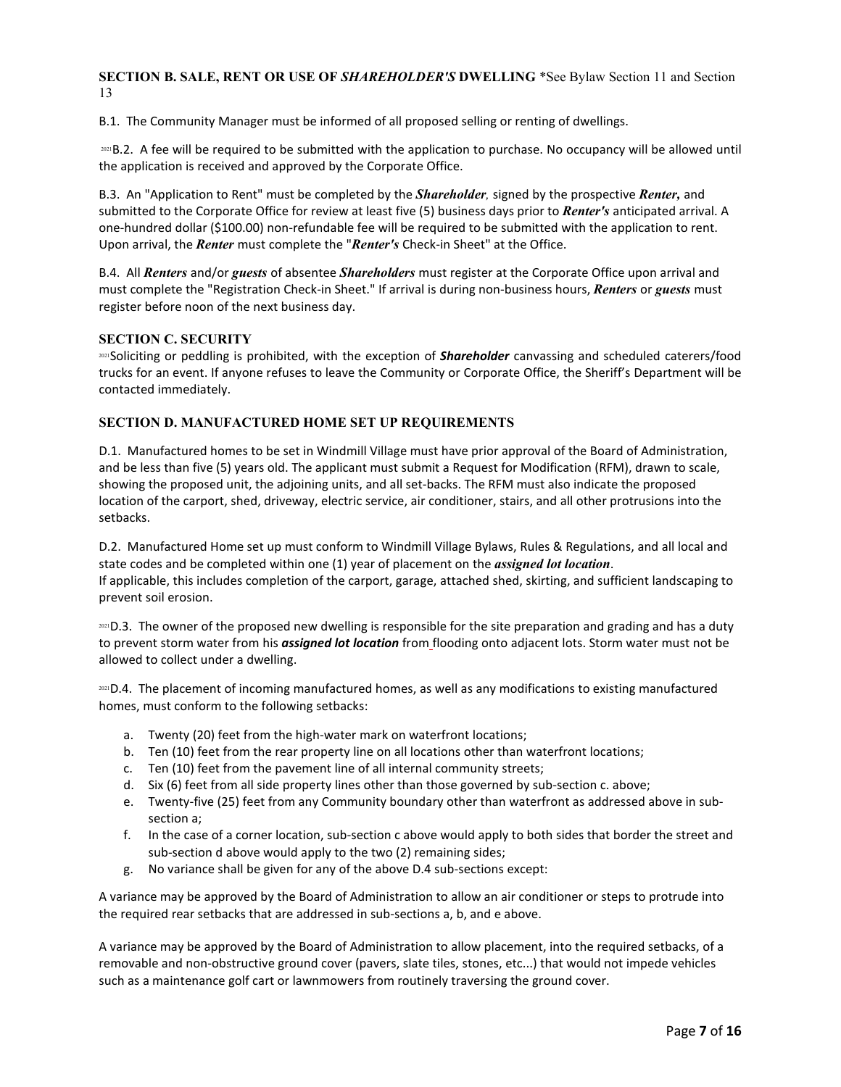**SECTION B. SALE, RENT OR USE OF** *SHAREHOLDER'S* **DWELLING** \*See Bylaw Section 11 and Section 13

B.1. The Community Manager must be informed of all proposed selling or renting of dwellings.

2021B.2. A fee will be required to be submitted with the application to purchase. No occupancy will be allowed until the application is received and approved by the Corporate Office.

B.3. An "Application to Rent" must be completed by the *Shareholder,* signed by the prospective *Renter,* and submitted to the Corporate Office for review at least five (5) business days prior to *Renter's* anticipated arrival. A one-hundred dollar (\$100.00) non-refundable fee will be required to be submitted with the application to rent. Upon arrival, the *Renter* must complete the "*Renter's* Check-in Sheet" at the Office.

B.4. All *Renters* and/or *guests* of absentee *Shareholders* must register at the Corporate Office upon arrival and must complete the "Registration Check-in Sheet." If arrival is during non-business hours, *Renters* or *guests* must register before noon of the next business day.

#### **SECTION C. SECURITY**

<sup>2021</sup>Soliciting or peddling is prohibited, with the exception of *Shareholder* canvassing and scheduled caterers/food trucks for an event. If anyone refuses to leave the Community or Corporate Office, the Sheriff's Department will be contacted immediately.

#### **SECTION D. MANUFACTURED HOME SET UP REQUIREMENTS**

D.1. Manufactured homes to be set in Windmill Village must have prior approval of the Board of Administration, and be less than five (5) years old. The applicant must submit a Request for Modification (RFM), drawn to scale, showing the proposed unit, the adjoining units, and all set-backs. The RFM must also indicate the proposed location of the carport, shed, driveway, electric service, air conditioner, stairs, and all other protrusions into the setbacks.

D.2. Manufactured Home set up must conform to Windmill Village Bylaws, Rules & Regulations, and all local and state codes and be completed within one (1) year of placement on the *assigned lot location*. If applicable, this includes completion of the carport, garage, attached shed, skirting, and sufficient landscaping to prevent soil erosion.

2021 D.3. The owner of the proposed new dwelling is responsible for the site preparation and grading and has a duty to prevent storm water from his *assigned lot location* from flooding onto adjacent lots. Storm water must not be allowed to collect under a dwelling.

<sup>2021</sup>D.4. The placement of incoming manufactured homes, as well as any modifications to existing manufactured homes, must conform to the following setbacks:

- a. Twenty (20) feet from the high-water mark on waterfront locations;
- b. Ten (10) feet from the rear property line on all locations other than waterfront locations;
- c. Ten (10) feet from the pavement line of all internal community streets;
- d. Six (6) feet from all side property lines other than those governed by sub-section c. above;
- e. Twenty-five (25) feet from any Community boundary other than waterfront as addressed above in subsection a;
- f. In the case of a corner location, sub-section c above would apply to both sides that border the street and sub-section d above would apply to the two (2) remaining sides;
- g. No variance shall be given for any of the above D.4 sub-sections except:

A variance may be approved by the Board of Administration to allow an air conditioner or steps to protrude into the required rear setbacks that are addressed in sub-sections a, b, and e above.

A variance may be approved by the Board of Administration to allow placement, into the required setbacks, of a removable and non-obstructive ground cover (pavers, slate tiles, stones, etc...) that would not impede vehicles such as a maintenance golf cart or lawnmowers from routinely traversing the ground cover.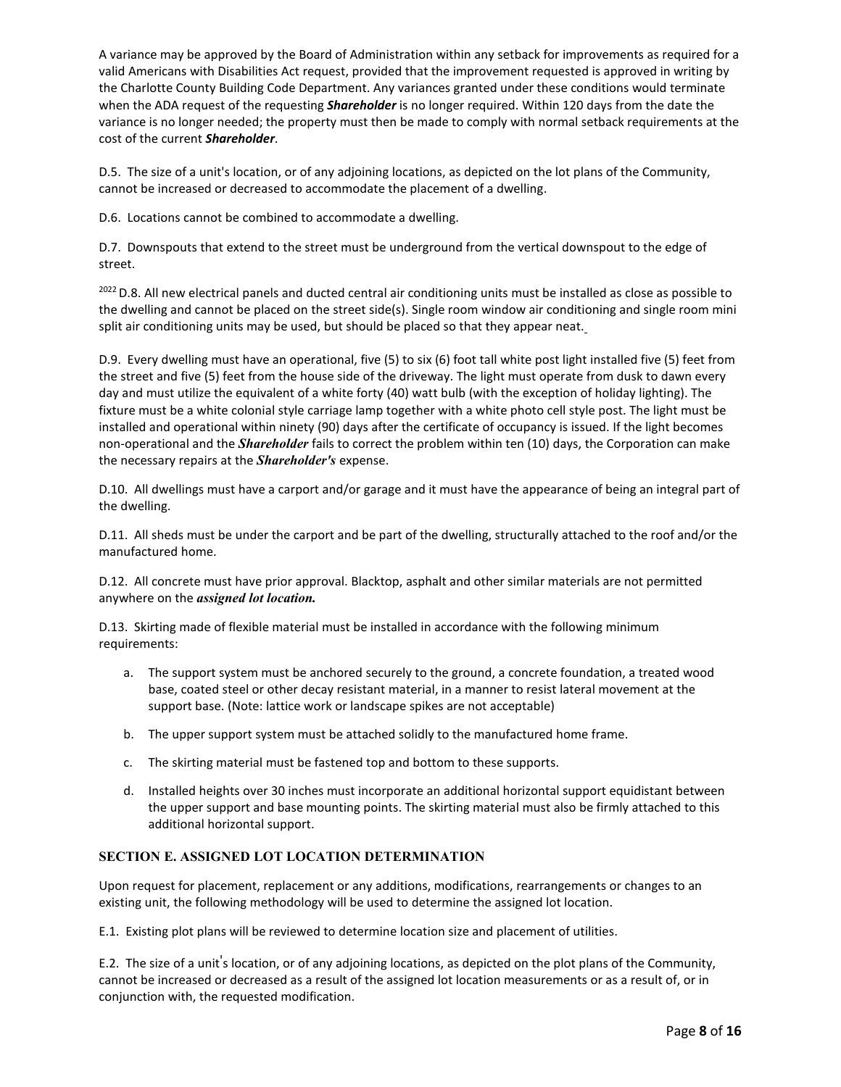A variance may be approved by the Board of Administration within any setback for improvements as required for a valid Americans with Disabilities Act request, provided that the improvement requested is approved in writing by the Charlotte County Building Code Department. Any variances granted under these conditions would terminate when the ADA request of the requesting *Shareholder* is no longer required. Within 120 days from the date the variance is no longer needed; the property must then be made to comply with normal setback requirements at the cost of the current *Shareholder*.

D.5. The size of a unit's location, or of any adjoining locations, as depicted on the lot plans of the Community, cannot be increased or decreased to accommodate the placement of a dwelling.

D.6. Locations cannot be combined to accommodate a dwelling.

D.7. Downspouts that extend to the street must be underground from the vertical downspout to the edge of street.

<sup>2022</sup> D.8. All new electrical panels and ducted central air conditioning units must be installed as close as possible to the dwelling and cannot be placed on the street side(s). Single room window air conditioning and single room mini split air conditioning units may be used, but should be placed so that they appear neat.

D.9. Every dwelling must have an operational, five (5) to six (6) foot tall white post light installed five (5) feet from the street and five (5) feet from the house side of the driveway. The light must operate from dusk to dawn every day and must utilize the equivalent of a white forty (40) watt bulb (with the exception of holiday lighting). The fixture must be a white colonial style carriage lamp together with a white photo cell style post. The light must be installed and operational within ninety (90) days after the certificate of occupancy is issued. If the light becomes non-operational and the *Shareholder* fails to correct the problem within ten (10) days, the Corporation can make the necessary repairs at the *Shareholder's* expense.

D.10. All dwellings must have a carport and/or garage and it must have the appearance of being an integral part of the dwelling.

D.11. All sheds must be under the carport and be part of the dwelling, structurally attached to the roof and/or the manufactured home.

D.12. All concrete must have prior approval. Blacktop, asphalt and other similar materials are not permitted anywhere on the *assigned lot location.*

D.13. Skirting made of flexible material must be installed in accordance with the following minimum requirements:

- a. The support system must be anchored securely to the ground, a concrete foundation, a treated wood base, coated steel or other decay resistant material, in a manner to resist lateral movement at the support base. (Note: lattice work or landscape spikes are not acceptable)
- b. The upper support system must be attached solidly to the manufactured home frame.
- c. The skirting material must be fastened top and bottom to these supports.
- d. Installed heights over 30 inches must incorporate an additional horizontal support equidistant between the upper support and base mounting points. The skirting material must also be firmly attached to this additional horizontal support.

# **SECTION E. ASSIGNED LOT LOCATION DETERMINATION**

Upon request for placement, replacement or any additions, modifications, rearrangements or changes to an existing unit, the following methodology will be used to determine the assigned lot location.

E.1. Existing plot plans will be reviewed to determine location size and placement of utilities.

E.2. The size of a unit's location, or of any adjoining locations, as depicted on the plot plans of the Community, cannot be increased or decreased as a result of the assigned lot location measurements or as a result of, or in conjunction with, the requested modification.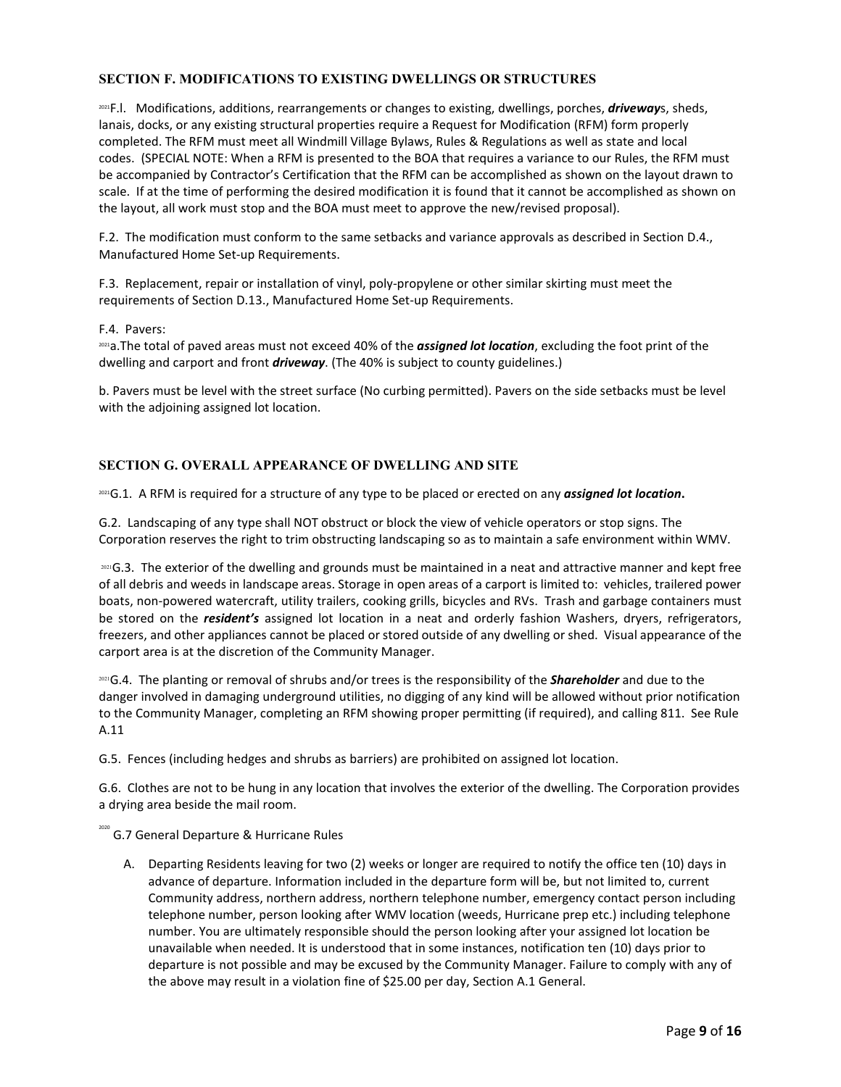# **SECTION F. MODIFICATIONS TO EXISTING DWELLINGS OR STRUCTURES**

2021F.l. Modifications, additions, rearrangements or changes to existing, dwellings, porches, *driveway*s, sheds, lanais, docks, or any existing structural properties require a Request for Modification (RFM) form properly completed. The RFM must meet all Windmill Village Bylaws, Rules & Regulations as well as state and local codes. (SPECIAL NOTE: When a RFM is presented to the BOA that requires a variance to our Rules, the RFM must be accompanied by Contractor's Certification that the RFM can be accomplished as shown on the layout drawn to scale. If at the time of performing the desired modification it is found that it cannot be accomplished as shown on the layout, all work must stop and the BOA must meet to approve the new/revised proposal).

F.2. The modification must conform to the same setbacks and variance approvals as described in Section D.4., Manufactured Home Set-up Requirements.

F.3. Replacement, repair or installation of vinyl, poly-propylene or other similar skirting must meet the requirements of Section D.13., Manufactured Home Set-up Requirements.

F.4. Pavers:

2021a.The total of paved areas must not exceed 40% of the *assigned lot location*, excluding the foot print of the dwelling and carport and front *driveway*. (The 40% is subject to county guidelines.)

b. Pavers must be level with the street surface (No curbing permitted). Pavers on the side setbacks must be level with the adjoining assigned lot location.

# **SECTION G. OVERALL APPEARANCE OF DWELLING AND SITE**

2021G.1. A RFM is required for a structure of any type to be placed or erected on any *assigned lot location***.**

G.2. Landscaping of any type shall NOT obstruct or block the view of vehicle operators or stop signs. The Corporation reserves the right to trim obstructing landscaping so as to maintain a safe environment within WMV.

2021G.3. The exterior of the dwelling and grounds must be maintained in a neat and attractive manner and kept free of all debris and weeds in landscape areas. Storage in open areas of a carport is limited to: vehicles, trailered power boats, non-powered watercraft, utility trailers, cooking grills, bicycles and RVs. Trash and garbage containers must be stored on the *resident's* assigned lot location in a neat and orderly fashion Washers, dryers, refrigerators, freezers, and other appliances cannot be placed or stored outside of any dwelling or shed. Visual appearance of the carport area is at the discretion of the Community Manager.

<sup>2021</sup>G.4. The planting or removal of shrubs and/or trees is the responsibility of the *Shareholder* and due to the danger involved in damaging underground utilities, no digging of any kind will be allowed without prior notification to the Community Manager, completing an RFM showing proper permitting (if required), and calling 811. See Rule A.11

G.5. Fences (including hedges and shrubs as barriers) are prohibited on assigned lot location.

G.6. Clothes are not to be hung in any location that involves the exterior of the dwelling. The Corporation provides a drying area beside the mail room.

<sup>2020</sup> G.7 General Departure & Hurricane Rules

A. Departing Residents leaving for two (2) weeks or longer are required to notify the office ten (10) days in advance of departure. Information included in the departure form will be, but not limited to, current Community address, northern address, northern telephone number, emergency contact person including telephone number, person looking after WMV location (weeds, Hurricane prep etc.) including telephone number. You are ultimately responsible should the person looking after your assigned lot location be unavailable when needed. It is understood that in some instances, notification ten (10) days prior to departure is not possible and may be excused by the Community Manager. Failure to comply with any of the above may result in a violation fine of \$25.00 per day, Section A.1 General.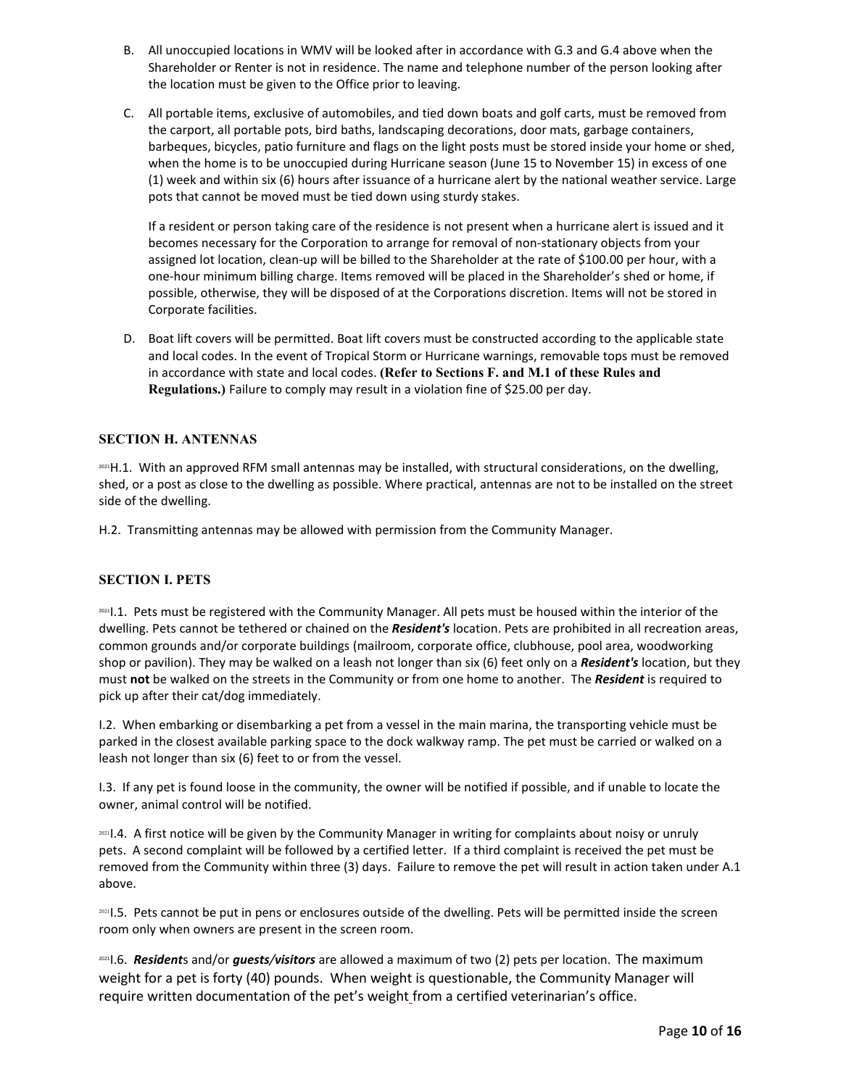- B. All unoccupied locations in WMV will be looked after in accordance with G.3 and G.4 above when the Shareholder or Renter is not in residence. The name and telephone number of the person looking after the location must be given to the Office prior to leaving.
- C. All portable items, exclusive of automobiles, and tied down boats and golf carts, must be removed from the carport, all portable pots, bird baths, landscaping decorations, door mats, garbage containers, barbeques, bicycles, patio furniture and flags on the light posts must be stored inside your home or shed, when the home is to be unoccupied during Hurricane season (June 15 to November 15) in excess of one (1) week and within six (6) hours after issuance of a hurricane alert by the national weather service. Large pots that cannot be moved must be tied down using sturdy stakes.

If a resident or person taking care of the residence is not present when a hurricane alert is issued and it becomes necessary for the Corporation to arrange for removal of non-stationary objects from your assigned lot location, clean-up will be billed to the Shareholder at the rate of \$100.00 per hour, with a one-hour minimum billing charge. Items removed will be placed in the Shareholder's shed or home, if possible, otherwise, they will be disposed of at the Corporations discretion. Items will not be stored in Corporate facilities.

D. Boat lift covers will be permitted. Boat lift covers must be constructed according to the applicable state and local codes. In the event of Tropical Storm or Hurricane warnings, removable tops must be removed in accordance with state and local codes. **(Refer to Sections F. and M.1 of these Rules and Regulations.)** Failure to comply may result in a violation fine of \$25.00 per day.

# **SECTION H. ANTENNAS**

2021 H.1. With an approved RFM small antennas may be installed, with structural considerations, on the dwelling, shed, or a post as close to the dwelling as possible. Where practical, antennas are not to be installed on the street side of the dwelling.

H.2. Transmitting antennas may be allowed with permission from the Community Manager.

### **SECTION I. PETS**

2021I.1. Pets must be registered with the Community Manager. All pets must be housed within the interior of the dwelling. Pets cannot be tethered or chained on the *Resident's* location. Pets are prohibited in all recreation areas, common grounds and/or corporate buildings (mailroom, corporate office, clubhouse, pool area, woodworking shop or pavilion). They may be walked on a leash not longer than six (6) feet only on a *Resident's* location, but they must **not** be walked on the streets in the Community or from one home to another. The *Resident* is required to pick up after their cat/dog immediately.

I.2. When embarking or disembarking a pet from a vessel in the main marina, the transporting vehicle must be parked in the closest available parking space to the dock walkway ramp. The pet must be carried or walked on a leash not longer than six (6) feet to or from the vessel.

I.3. If any pet is found loose in the community, the owner will be notified if possible, and if unable to locate the owner, animal control will be notified.

<sup>2021</sup>I.4. A first notice will be given by the Community Manager in writing for complaints about noisy or unruly pets. A second complaint will be followed by a certified letter. If a third complaint is received the pet must be removed from the Community within three (3) days. Failure to remove the pet will result in action taken under A.1 above.

20211.5. Pets cannot be put in pens or enclosures outside of the dwelling. Pets will be permitted inside the screen room only when owners are present in the screen room.

2021I.6. *Resident*s and/or *guests/visitors* are allowed a maximum of two (2) pets per location. The maximum weight for a pet is forty (40) pounds. When weight is questionable, the Community Manager will require written documentation of the pet's weight from a certified veterinarian's office.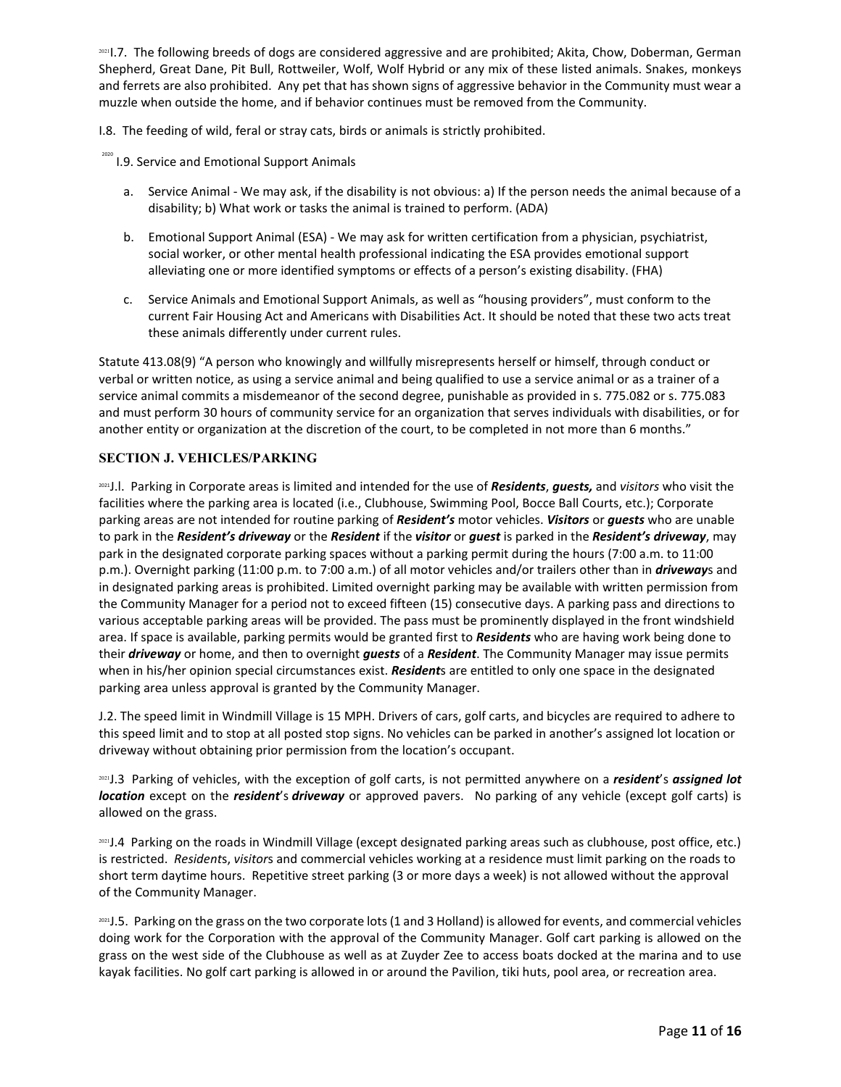2021].7. The following breeds of dogs are considered aggressive and are prohibited; Akita, Chow, Doberman, German Shepherd, Great Dane, Pit Bull, Rottweiler, Wolf, Wolf Hybrid or any mix of these listed animals. Snakes, monkeys and ferrets are also prohibited. Any pet that has shown signs of aggressive behavior in the Community must wear a muzzle when outside the home, and if behavior continues must be removed from the Community.

I.8. The feeding of wild, feral or stray cats, birds or animals is strictly prohibited.

- <sup>2020</sup> I.9. Service and Emotional Support Animals
	- a. Service Animal We may ask, if the disability is not obvious: a) If the person needs the animal because of a disability; b) What work or tasks the animal is trained to perform. (ADA)
	- b. Emotional Support Animal (ESA) We may ask for written certification from a physician, psychiatrist, social worker, or other mental health professional indicating the ESA provides emotional support alleviating one or more identified symptoms or effects of a person's existing disability. (FHA)
	- c. Service Animals and Emotional Support Animals, as well as "housing providers", must conform to the current Fair Housing Act and Americans with Disabilities Act. It should be noted that these two acts treat these animals differently under current rules.

Statute 413.08(9) "A person who knowingly and willfully misrepresents herself or himself, through conduct or verbal or written notice, as using a service animal and being qualified to use a service animal or as a trainer of a service animal commits a misdemeanor of the second degree, punishable as provided in s. 775.082 or s. 775.083 and must perform 30 hours of community service for an organization that serves individuals with disabilities, or for another entity or organization at the discretion of the court, to be completed in not more than 6 months."

# **SECTION J. VEHICLES/PARKING**

2021J.l. Parking in Corporate areas is limited and intended for the use of *Residents*, *guests,* and *visitors* who visit the facilities where the parking area is located (i.e., Clubhouse, Swimming Pool, Bocce Ball Courts, etc.); Corporate parking areas are not intended for routine parking of *Resident's* motor vehicles. *Visitors* or *guests* who are unable to park in the *Resident's driveway* or the *Resident* if the *visitor* or *guest* is parked in the *Resident's driveway*, may park in the designated corporate parking spaces without a parking permit during the hours (7:00 a.m. to 11:00 p.m.). Overnight parking (11:00 p.m. to 7:00 a.m.) of all motor vehicles and/or trailers other than in *driveway*s and in designated parking areas is prohibited. Limited overnight parking may be available with written permission from the Community Manager for a period not to exceed fifteen (15) consecutive days. A parking pass and directions to various acceptable parking areas will be provided. The pass must be prominently displayed in the front windshield area. If space is available, parking permits would be granted first to *Residents* who are having work being done to their *driveway* or home, and then to overnight *guests* of a *Resident*. The Community Manager may issue permits when in his/her opinion special circumstances exist. *Resident*s are entitled to only one space in the designated parking area unless approval is granted by the Community Manager.

J.2. The speed limit in Windmill Village is 15 MPH. Drivers of cars, golf carts, and bicycles are required to adhere to this speed limit and to stop at all posted stop signs. No vehicles can be parked in another's assigned lot location or driveway without obtaining prior permission from the location's occupant.

<sup>2021</sup>J.3 Parking of vehicles, with the exception of golf carts, is not permitted anywhere on a *resident*'s *assigned lot location* except on the *resident*'s *driveway* or approved pavers. No parking of any vehicle (except golf carts) is allowed on the grass.

2021 J.4 Parking on the roads in Windmill Village (except designated parking areas such as clubhouse, post office, etc.) is restricted. *Resident*s, *visitor*s and commercial vehicles working at a residence must limit parking on the roads to short term daytime hours. Repetitive street parking (3 or more days a week) is not allowed without the approval of the Community Manager.

2021 J.5. Parking on the grass on the two corporate lots (1 and 3 Holland) is allowed for events, and commercial vehicles doing work for the Corporation with the approval of the Community Manager. Golf cart parking is allowed on the grass on the west side of the Clubhouse as well as at Zuyder Zee to access boats docked at the marina and to use kayak facilities. No golf cart parking is allowed in or around the Pavilion, tiki huts, pool area, or recreation area.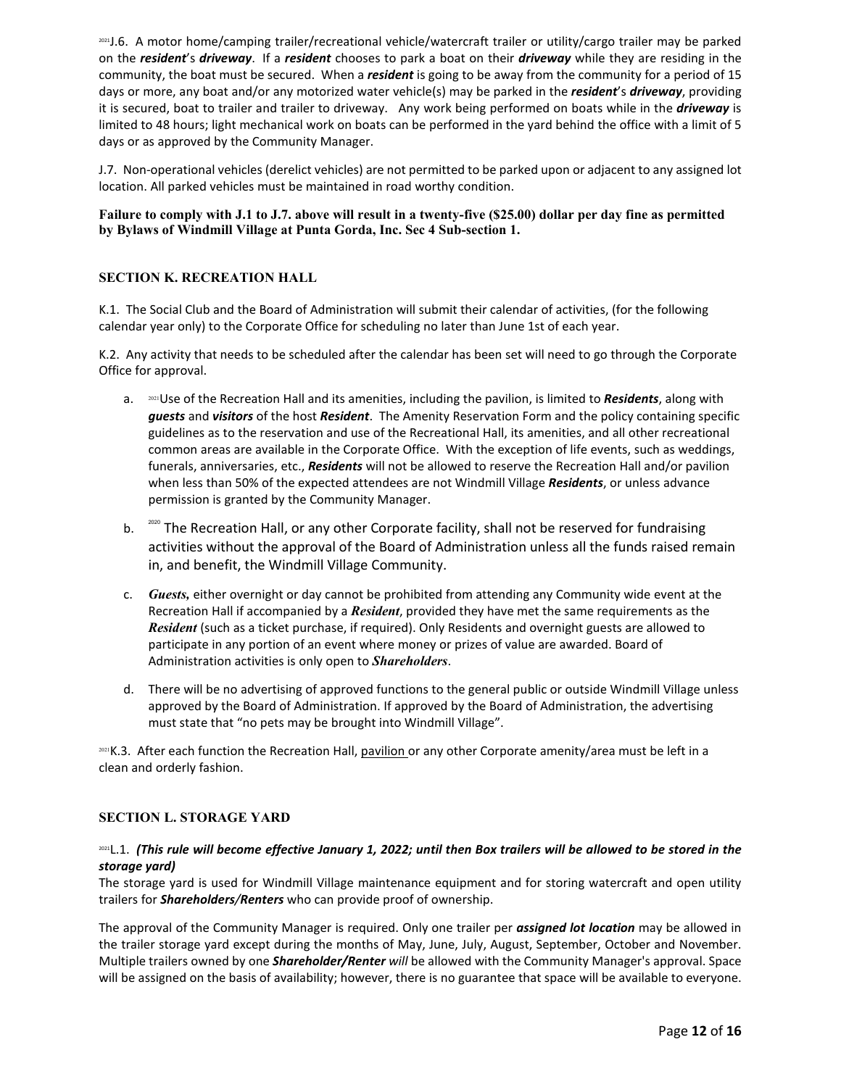2021J.6. A motor home/camping trailer/recreational vehicle/watercraft trailer or utility/cargo trailer may be parked on the *resident*'s *driveway*. If a *resident* chooses to park a boat on their *driveway* while they are residing in the community, the boat must be secured. When a *resident* is going to be away from the community for a period of 15 days or more, any boat and/or any motorized water vehicle(s) may be parked in the *resident*'s *driveway*, providing it is secured, boat to trailer and trailer to driveway. Any work being performed on boats while in the *driveway* is limited to 48 hours; light mechanical work on boats can be performed in the yard behind the office with a limit of 5 days or as approved by the Community Manager.

J.7. Non-operational vehicles (derelict vehicles) are not permitted to be parked upon or adjacent to any assigned lot location. All parked vehicles must be maintained in road worthy condition.

### **Failure to comply with J.1 to J.7. above will result in a twenty-five (\$25.00) dollar per day fine as permitted by Bylaws of Windmill Village at Punta Gorda, Inc. Sec 4 Sub-section 1.**

## **SECTION K. RECREATION HALL**

K.1. The Social Club and the Board of Administration will submit their calendar of activities, (for the following calendar year only) to the Corporate Office for scheduling no later than June 1st of each year.

K.2. Any activity that needs to be scheduled after the calendar has been set will need to go through the Corporate Office for approval.

- a. <sup>2021</sup>Use of the Recreation Hall and its amenities, including the pavilion, is limited to *Residents*, along with *guests* and *visitors* of the host *Resident*. The Amenity Reservation Form and the policy containing specific guidelines as to the reservation and use of the Recreational Hall, its amenities, and all other recreational common areas are available in the Corporate Office. With the exception of life events, such as weddings, funerals, anniversaries, etc., *Residents* will not be allowed to reserve the Recreation Hall and/or pavilion when less than 50% of the expected attendees are not Windmill Village *Residents*, or unless advance permission is granted by the Community Manager.
- b. <sup>2020</sup> The Recreation Hall, or any other Corporate facility, shall not be reserved for fundraising activities without the approval of the Board of Administration unless all the funds raised remain in, and benefit, the Windmill Village Community.
- c. *Guests,* either overnight or day cannot be prohibited from attending any Community wide event at the Recreation Hall if accompanied by a *Resident*, provided they have met the same requirements as the *Resident* (such as a ticket purchase, if required). Only Residents and overnight guests are allowed to participate in any portion of an event where money or prizes of value are awarded. Board of Administration activities is only open to *Shareholders*.
- d. There will be no advertising of approved functions to the general public or outside Windmill Village unless approved by the Board of Administration. If approved by the Board of Administration, the advertising must state that "no pets may be brought into Windmill Village".

2021 K.3. After each function the Recreation Hall, pavilion or any other Corporate amenity/area must be left in a clean and orderly fashion.

### **SECTION L. STORAGE YARD**

### 2021L.1. *(This rule will become effective January 1, 2022; until then Box trailers will be allowed to be stored in the storage yard)*

The storage yard is used for Windmill Village maintenance equipment and for storing watercraft and open utility trailers for *Shareholders/Renters* who can provide proof of ownership.

The approval of the Community Manager is required. Only one trailer per *assigned lot location* may be allowed in the trailer storage yard except during the months of May, June, July, August, September, October and November. Multiple trailers owned by one *Shareholder/Renter will* be allowed with the Community Manager's approval. Space will be assigned on the basis of availability; however, there is no guarantee that space will be available to everyone.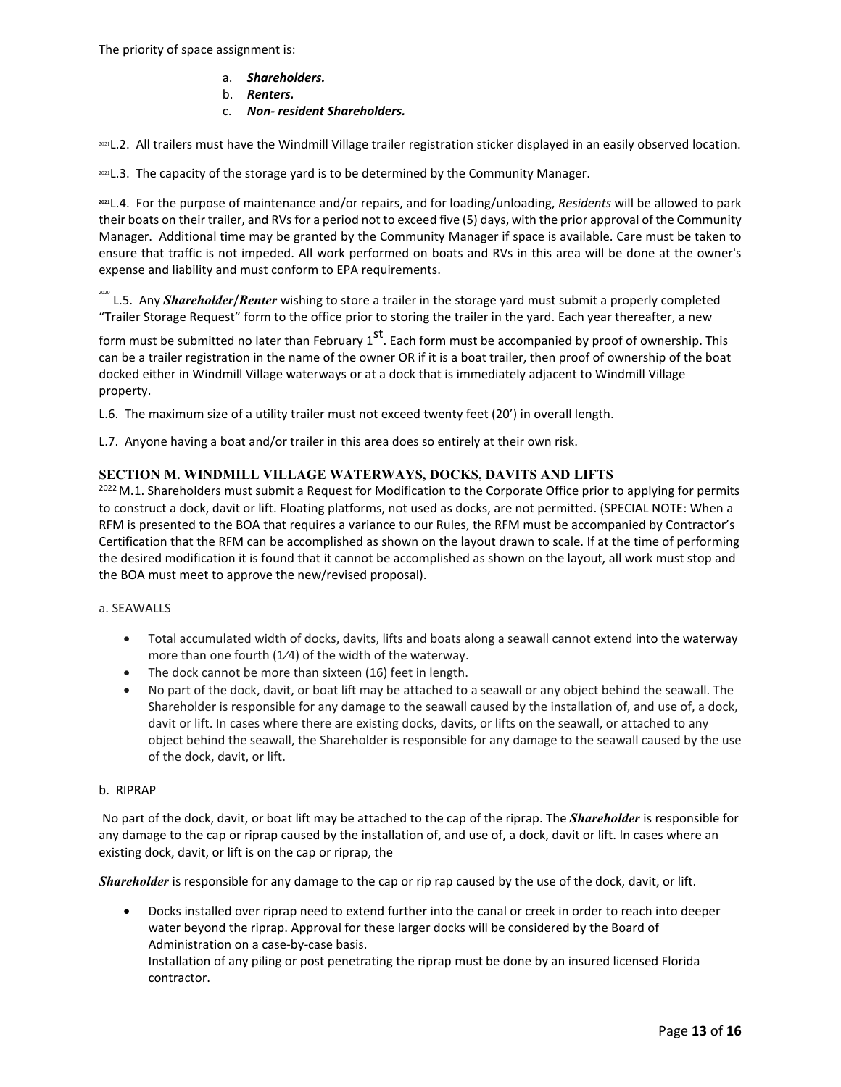- a. *Shareholders.*
- b. *Renters.*
- c. *Non- resident Shareholders.*

2021 L.2. All trailers must have the Windmill Village trailer registration sticker displayed in an easily observed location.

2021 L.3. The capacity of the storage yard is to be determined by the Community Manager.

**<sup>2021</sup>**L.4. For the purpose of maintenance and/or repairs, and for loading/unloading, *Residents* will be allowed to park their boats on their trailer, and RVs for a period not to exceed five (5) days, with the prior approval of the Community Manager. Additional time may be granted by the Community Manager if space is available. Care must be taken to ensure that traffic is not impeded. All work performed on boats and RVs in this area will be done at the owner's expense and liability and must conform to EPA requirements.

<sup>2020</sup> L.5. Any *Shareholder/Renter wishing to store a trailer in the storage yard must submit a properly completed* "Trailer Storage Request" form to the office prior to storing the trailer in the yard. Each year thereafter, a new

form must be submitted no later than February  $1^{st}$ . Each form must be accompanied by proof of ownership. This can be a trailer registration in the name of the owner OR if it is a boat trailer, then proof of ownership of the boat docked either in Windmill Village waterways or at a dock that is immediately adjacent to Windmill Village property.

L.6. The maximum size of a utility trailer must not exceed twenty feet (20') in overall length.

L.7. Anyone having a boat and/or trailer in this area does so entirely at their own risk.

### **SECTION M. WINDMILL VILLAGE WATERWAYS, DOCKS, DAVITS AND LIFTS**

2022 M.1. Shareholders must submit a Request for Modification to the Corporate Office prior to applying for permits to construct a dock, davit or lift. Floating platforms, not used as docks, are not permitted. (SPECIAL NOTE: When a RFM is presented to the BOA that requires a variance to our Rules, the RFM must be accompanied by Contractor's Certification that the RFM can be accomplished as shown on the layout drawn to scale. If at the time of performing the desired modification it is found that it cannot be accomplished as shown on the layout, all work must stop and the BOA must meet to approve the new/revised proposal).

### a. SEAWALLS

- Total accumulated width of docks, davits, lifts and boats along a seawall cannot extend into the waterway more than one fourth  $(1/4)$  of the width of the waterway.
- The dock cannot be more than sixteen (16) feet in length.
- No part of the dock, davit, or boat lift may be attached to a seawall or any object behind the seawall. The Shareholder is responsible for any damage to the seawall caused by the installation of, and use of, a dock, davit or lift. In cases where there are existing docks, davits, or lifts on the seawall, or attached to any object behind the seawall, the Shareholder is responsible for any damage to the seawall caused by the use of the dock, davit, or lift.

### b. RIPRAP

No part of the dock, davit, or boat lift may be attached to the cap of the riprap. The *Shareholder* is responsible for any damage to the cap or riprap caused by the installation of, and use of, a dock, davit or lift. In cases where an existing dock, davit, or lift is on the cap or riprap, the

*Shareholder* is responsible for any damage to the cap or rip rap caused by the use of the dock, davit, or lift.

• Docks installed over riprap need to extend further into the canal or creek in order to reach into deeper water beyond the riprap. Approval for these larger docks will be considered by the Board of Administration on a case-by-case basis. Installation of any piling or post penetrating the riprap must be done by an insured licensed Florida contractor.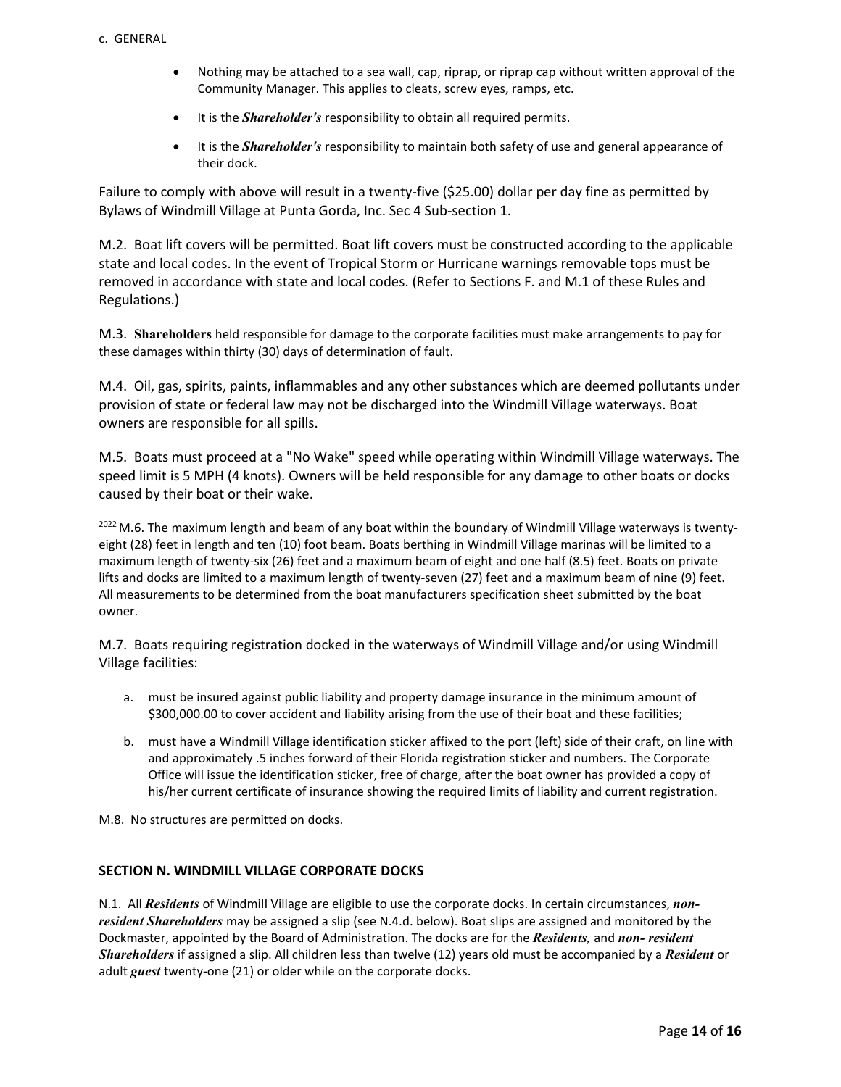- Nothing may be attached to a sea wall, cap, riprap, or riprap cap without written approval of the Community Manager. This applies to cleats, screw eyes, ramps, etc.
- It is the *Shareholder's* responsibility to obtain all required permits.
- It is the *Shareholder's* responsibility to maintain both safety of use and general appearance of their dock.

Failure to comply with above will result in a twenty-five (\$25.00) dollar per day fine as permitted by Bylaws of Windmill Village at Punta Gorda, Inc. Sec 4 Sub-section 1.

M.2. Boat lift covers will be permitted. Boat lift covers must be constructed according to the applicable state and local codes. In the event of Tropical Storm or Hurricane warnings removable tops must be removed in accordance with state and local codes. (Refer to Sections F. and M.1 of these Rules and Regulations.)

M.3. **Shareholders** held responsible for damage to the corporate facilities must make arrangements to pay for these damages within thirty (30) days of determination of fault.

M.4. Oil, gas, spirits, paints, inflammables and any other substances which are deemed pollutants under provision of state or federal law may not be discharged into the Windmill Village waterways. Boat owners are responsible for all spills.

M.5. Boats must proceed at a "No Wake" speed while operating within Windmill Village waterways. The speed limit is 5 MPH (4 knots). Owners will be held responsible for any damage to other boats or docks caused by their boat or their wake.

<sup>2022</sup> M.6. The maximum length and beam of any boat within the boundary of Windmill Village waterways is twentyeight (28) feet in length and ten (10) foot beam. Boats berthing in Windmill Village marinas will be limited to a maximum length of twenty-six (26) feet and a maximum beam of eight and one half (8.5) feet. Boats on private lifts and docks are limited to a maximum length of twenty-seven (27) feet and a maximum beam of nine (9) feet. All measurements to be determined from the boat manufacturers specification sheet submitted by the boat owner.

M.7. Boats requiring registration docked in the waterways of Windmill Village and/or using Windmill Village facilities:

- a. must be insured against public liability and property damage insurance in the minimum amount of \$300,000.00 to cover accident and liability arising from the use of their boat and these facilities;
- b. must have a Windmill Village identification sticker affixed to the port (left) side of their craft, on line with and approximately .5 inches forward of their Florida registration sticker and numbers. The Corporate Office will issue the identification sticker, free of charge, after the boat owner has provided a copy of his/her current certificate of insurance showing the required limits of liability and current registration.

M.8. No structures are permitted on docks.

### **SECTION N. WINDMILL VILLAGE CORPORATE DOCKS**

N.1. All *Residents* of Windmill Village are eligible to use the corporate docks. In certain circumstances, *nonresident Shareholders* may be assigned a slip (see N.4.d. below). Boat slips are assigned and monitored by the Dockmaster, appointed by the Board of Administration. The docks are for the *Residents,* and *non- resident Shareholders* if assigned a slip. All children less than twelve (12) years old must be accompanied by a *Resident* or adult *guest* twenty-one (21) or older while on the corporate docks.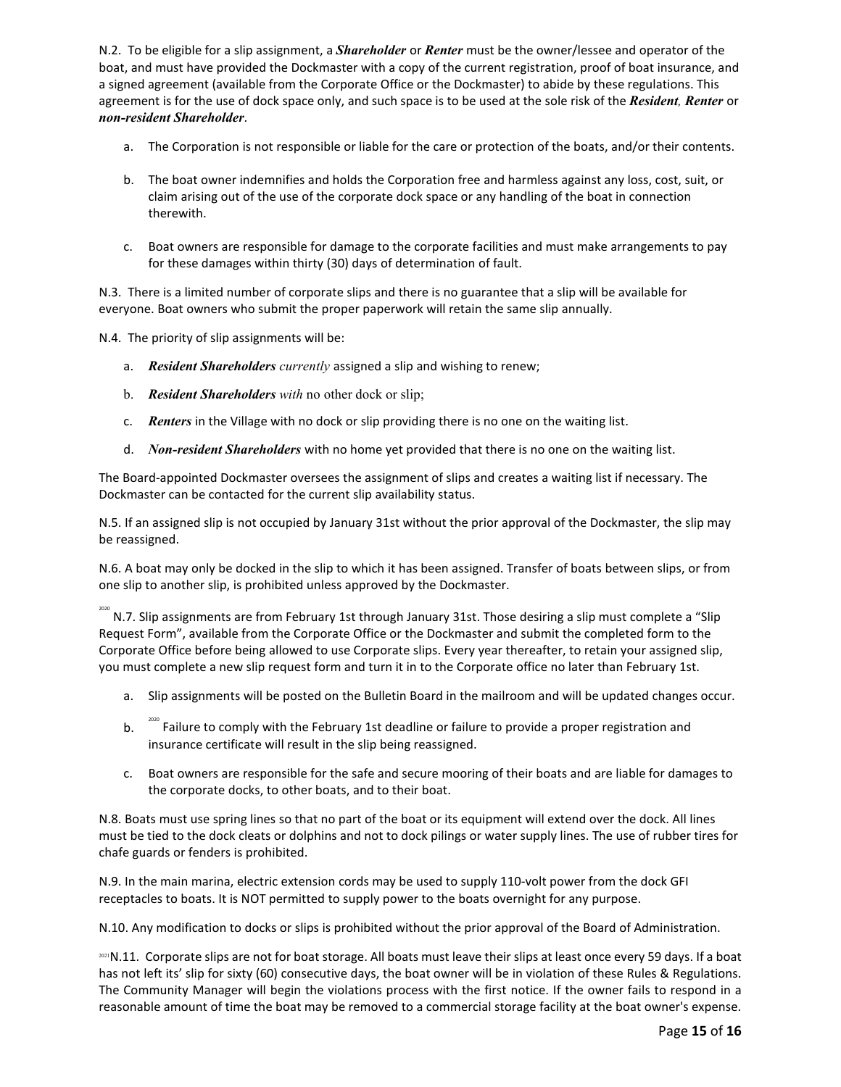N.2. To be eligible for a slip assignment, a *Shareholder* or *Renter* must be the owner/lessee and operator of the boat, and must have provided the Dockmaster with a copy of the current registration, proof of boat insurance, and a signed agreement (available from the Corporate Office or the Dockmaster) to abide by these regulations. This agreement is for the use of dock space only, and such space is to be used at the sole risk of the *Resident, Renter* or *non-resident Shareholder*.

- a. The Corporation is not responsible or liable for the care or protection of the boats, and/or their contents.
- b. The boat owner indemnifies and holds the Corporation free and harmless against any loss, cost, suit, or claim arising out of the use of the corporate dock space or any handling of the boat in connection therewith.
- c. Boat owners are responsible for damage to the corporate facilities and must make arrangements to pay for these damages within thirty (30) days of determination of fault.

N.3. There is a limited number of corporate slips and there is no guarantee that a slip will be available for everyone. Boat owners who submit the proper paperwork will retain the same slip annually.

N.4. The priority of slip assignments will be:

- a. *Resident Shareholders currently* assigned a slip and wishing to renew;
- b. *Resident Shareholders with* no other dock or slip;
- c. *Renters* in the Village with no dock or slip providing there is no one on the waiting list.
- d. *Non-resident Shareholders* with no home yet provided that there is no one on the waiting list.

The Board-appointed Dockmaster oversees the assignment of slips and creates a waiting list if necessary. The Dockmaster can be contacted for the current slip availability status.

N.5. If an assigned slip is not occupied by January 31st without the prior approval of the Dockmaster, the slip may be reassigned.

N.6. A boat may only be docked in the slip to which it has been assigned. Transfer of boats between slips, or from one slip to another slip, is prohibited unless approved by the Dockmaster.

<sup>2020</sup> N.7. Slip assignments are from February 1st through January 31st. Those desiring a slip must complete a "Slip Request Form", available from the Corporate Office or the Dockmaster and submit the completed form to the Corporate Office before being allowed to use Corporate slips. Every year thereafter, to retain your assigned slip, you must complete a new slip request form and turn it in to the Corporate office no later than February 1st.

- a. Slip assignments will be posted on the Bulletin Board in the mailroom and will be updated changes occur.
- b. <sup>2020</sup> Failure to comply with the February 1st deadline or failure to provide a proper registration and insurance certificate will result in the slip being reassigned.
- c. Boat owners are responsible for the safe and secure mooring of their boats and are liable for damages to the corporate docks, to other boats, and to their boat.

N.8. Boats must use spring lines so that no part of the boat or its equipment will extend over the dock. All lines must be tied to the dock cleats or dolphins and not to dock pilings or water supply lines. The use of rubber tires for chafe guards or fenders is prohibited.

N.9. In the main marina, electric extension cords may be used to supply 110-volt power from the dock GFI receptacles to boats. It is NOT permitted to supply power to the boats overnight for any purpose.

N.10. Any modification to docks or slips is prohibited without the prior approval of the Board of Administration.

2021 N.11. Corporate slips are not for boat storage. All boats must leave their slips at least once every 59 days. If a boat has not left its' slip for sixty (60) consecutive days, the boat owner will be in violation of these Rules & Regulations. The Community Manager will begin the violations process with the first notice. If the owner fails to respond in a reasonable amount of time the boat may be removed to a commercial storage facility at the boat owner's expense.